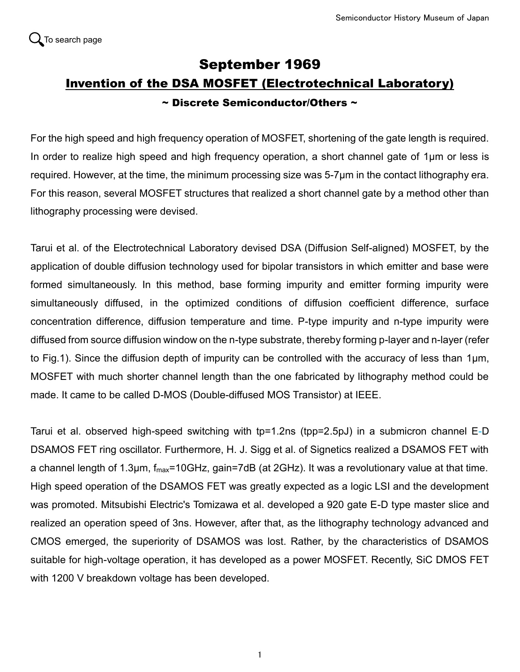## September 1969 Invention of the DSA MOSFET (Electrotechnical Laboratory) ~ Discrete Semiconductor/Others ~

For the high speed and high frequency operation of MOSFET, shortening of the gate length is required. In order to realize high speed and high frequency operation, a short channel gate of 1μm or less is required. However, at the time, the minimum processing size was 5-7μm in the contact lithography era. For this reason, several MOSFET structures that realized a short channel gate by a method other than lithography processing were devised.

Tarui et al. of the Electrotechnical Laboratory devised DSA (Diffusion Self-aligned) MOSFET, by the application of double diffusion technology used for bipolar transistors in which emitter and base were formed simultaneously. In this method, base forming impurity and emitter forming impurity were simultaneously diffused, in the optimized conditions of diffusion coefficient difference, surface concentration difference, diffusion temperature and time. P-type impurity and n-type impurity were diffused from source diffusion window on the n-type substrate, thereby forming p-layer and n-layer (refer to Fig.1). Since the diffusion depth of impurity can be controlled with the accuracy of less than 1μm, MOSFET with much shorter channel length than the one fabricated by lithography method could be made. It came to be called D-MOS (Double-diffused MOS Transistor) at IEEE.

Tarui et al. observed high-speed switching with tp=1.2ns (tpp=2.5pJ) in a submicron channel E-D DSAMOS FET ring oscillator. Furthermore, H. J. Sigg et al. of Signetics realized a DSAMOS FET with a channel length of 1.3µm,  $f_{\text{max}}$ =10GHz, gain=7dB (at 2GHz). It was a revolutionary value at that time. High speed operation of the DSAMOS FET was greatly expected as a logic LSI and the development was promoted. Mitsubishi Electric's Tomizawa et al. developed a 920 gate E-D type master slice and realized an operation speed of 3ns. However, after that, as the lithography technology advanced and CMOS emerged, the superiority of DSAMOS was lost. Rather, by the characteristics of DSAMOS suitable for high-voltage operation, it has developed as a power MOSFET. Recently, SiC DMOS FET with 1200 V breakdown voltage has been developed.